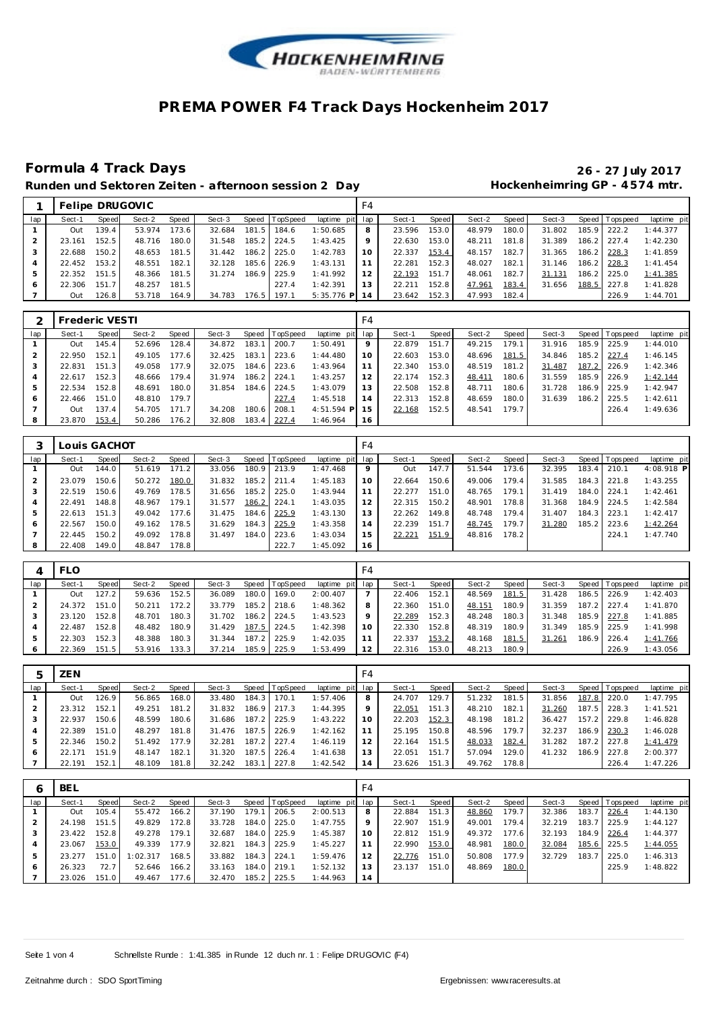

### Runden und Sektoren Zeiten - afternoon session 2 Day **11 beschiff and Hockenheimring GP** - 4574 mtr.

# **Formula 4 Track Days 26 - 27 July 2017**

|     |        |       | Felipe DRUGOVIC |       |        |       |                  |                 | F4      |        |       |        |       |        |       |                 |             |
|-----|--------|-------|-----------------|-------|--------|-------|------------------|-----------------|---------|--------|-------|--------|-------|--------|-------|-----------------|-------------|
| lap | Sect-1 | Speed | Sect-2          | Speed | Sect-3 |       | Speed   TopSpeed | laptime pit lap |         | Sect-1 | Speed | Sect-2 | Speed | Sect-3 |       | Speed Tops peed | laptime pit |
|     | Out    | 139.4 | 53.974          | 173.6 | 32.684 | 181.5 | 184.6            | 1:50.685        | 8       | 23.596 | 153.0 | 48.979 | 180.0 | 31.802 | 185.9 | 222.2           | 1:44.377    |
|     | 23.161 | 152.5 | 48.716          | 180.0 | 31.548 | 185.2 | 224.5            | 1:43.425        | $\circ$ | 22.630 | 153.0 | 48.211 | 181.8 | 31.389 | 186.2 | 227.4           | 1:42.230    |
|     | 22.688 | 150.2 | 48.653          | 181.5 | 31.442 | 186.2 | 225.0            | 1:42.783        |         | 22.337 | 153.4 | 48.157 | 182.7 | 31.365 | 186.2 | 228.3           | 1:41.859    |
|     | 22.452 | 153.2 | 48.551          | 182.1 | 32.128 | 185.6 | 226.9            | 1:43.131        |         | 22.281 | 152.3 | 48.027 | 182.1 | 31.146 | 186.2 | 228.3           | 1:41.454    |
| 5   | 22.352 | 151.5 | 48.366          | 181.5 | 31.274 | 186.9 | 225.9            | 1:41.992        |         | 22.193 | 151.7 | 48.061 | 182.7 | 31.131 | 186.2 | 225.0           | 1:41.385    |
| 6   | 22.306 | 151.  | 48.257          | 181.5 |        |       | 227.4            | 1:42.391        |         | 22.211 | 152.8 | 47.961 | 183.4 | 31.656 | 188.5 | 227.8           | 1:41.828    |
|     | Out    | 126.8 | 53.718          | 164.9 | 34.783 | 176.5 | 197.1            | $5:35.776$ P    | 4       | 23.642 | 152.3 | 47.993 | 182.4 |        |       | 226.9           | 1:44.701    |

|     | <b>Frederic VESTI</b> |       |        |       |        |       |          |                 | F4 |        |       |        |       |        |       |                 |             |
|-----|-----------------------|-------|--------|-------|--------|-------|----------|-----------------|----|--------|-------|--------|-------|--------|-------|-----------------|-------------|
| lap | Sect-1                | Speed | Sect-2 | Speed | Sect-3 | Speed | TopSpeed | laptime pit lap |    | Sect-1 | Speed | Sect-2 | Speed | Sect-3 |       | Speed Tops peed | laptime pit |
|     | Out                   | 145.4 | 52.696 | 128.4 | 34.872 | 183.1 | 200.7    | 1:50.491        | 9  | 22.879 | 151.7 | 49.215 | 179.1 | 31.916 | 185.9 | 225.9           | 1:44.010    |
|     | 22.950                | 152.1 | 49.105 | 177.6 | 32.425 | 183.1 | 223.6    | 1:44.480        | 10 | 22.603 | 153.0 | 48.696 | 181.5 | 34.846 | 185.2 | 227.4           | 1:46.145    |
| 3   | 22.831                | 151.3 | 49.058 | 177.9 | 32.075 | 184.6 | 223.6    | 1:43.964        |    | 22.340 | 153.0 | 48.519 | 181.2 | 31.487 | 187.2 | 226.9           | 1:42.346    |
|     | 22.617                | 152.3 | 48.666 | 179.4 | 31.974 | 186.2 | 224.1    | 1:43.257        | 12 | 22.174 | 152.3 | 48.411 | 180.6 | 31.559 | 185.9 | 226.9           | 1:42.144    |
| 5   | 22.534                | 152.8 | 48.691 | 180.0 | 31.854 | 184.6 | 224.5    | 1:43.079        | 13 | 22.508 | 152.8 | 48.711 | 180.6 | 31.728 | 186.9 | 225.9           | 1:42.947    |
| 6   | 22.466                | 151.0 | 48.810 | 179.7 |        |       | 227.4    | 1:45.518        | 14 | 22.313 | 152.8 | 48.659 | 180.0 | 31.639 | 186.2 | 225.5           | 1:42.611    |
|     | Out                   | 137.4 | 54.705 | 171.7 | 34.208 | 180.6 | 208.1    | $4:51.594$ P    | 15 | 22.168 | 152.5 | 48.541 | 179.7 |        |       | 226.4           | 1:49.636    |
| 8   | 23.870                | 153.4 | 50.286 | 176.2 | 32.808 | 183.4 | 227.4    | 1:46.964        | 16 |        |       |        |       |        |       |                 |             |

|     | Louis GACHOT |       |        |       |        |       |                |             | F4  |        |       |        |       |        |       |                 |             |
|-----|--------------|-------|--------|-------|--------|-------|----------------|-------------|-----|--------|-------|--------|-------|--------|-------|-----------------|-------------|
| lap | Sect-1       | Speed | Sect-2 | Speed | Sect-3 |       | Speed TopSpeed | laptime pit | lap | Sect-1 | Speed | Sect-2 | Speed | Sect-3 |       | Speed Tops peed | laptime pit |
|     | Out          | 144.0 | 51.619 | 171.2 | 33.056 |       | 180.9 213.9    | 1:47.468    | 9   | Out    | 147.7 | 51.544 | 173.6 | 32.395 | 183.4 | 210.1           | 4:08.918 P  |
|     | 23.079       | 150.6 | 50.272 | 180.0 | 31.832 | 185.2 | 1211.4         | 1:45.183    | 10  | 22.664 | 150.6 | 49.006 | 179.4 | 31.585 | 184.3 | 221.8           | 1:43.255    |
| 3   | 22.519       | 150.6 | 49.769 | 178.5 | 31.656 |       | 185.2 225.0    | 1:43.944    | 11  | 22.277 | 151.0 | 48.765 | 179.1 | 31.419 | 184.0 | 224.1           | 1:42.461    |
| 4   | 22.491       | 148.8 | 48.967 | 179.1 | 31.577 | 186.2 | 1224.1         | 1:43.035    | 12  | 22.315 | 150.2 | 48.901 | 178.8 | 31.368 | 184.9 | 224.5           | 1:42.584    |
| 5   | 22.613       | 151.3 | 49.042 | 177.6 | 31.475 |       | 184.6 225.9    | 1:43.130    | 13  | 22.262 | 149.8 | 48.748 | 179.4 | 31.407 | 184.3 | 223.1           | 1:42.417    |
| O   | 22.567       | 150.0 | 49.162 | 178.5 | 31.629 |       | 184.3 225.9    | 1:43.358    | 14  | 22.239 | 151.7 | 48.745 | 179.7 | 31.280 | 185.2 | 223.6           | 1:42.264    |
|     | 22.445       | 150.2 | 49.092 | 178.8 | 31.497 |       | 184.0 223.6    | 1:43.034    | 15  | 22.221 | 151.9 | 48.816 | 178.2 |        |       | 224.1           | 1:47.740    |
| 8   | 22.408       | 149.0 | 48.847 | 178.8 |        |       | 222.7          | 1:45.092    | 16  |        |       |        |       |        |       |                 |             |

|     | <b>FLO</b> |       |        |       |        |       |                |                 | F4 |        |       |        |       |        |       |                |             |
|-----|------------|-------|--------|-------|--------|-------|----------------|-----------------|----|--------|-------|--------|-------|--------|-------|----------------|-------------|
| lap | Sect-1     | Speed | Sect-2 | Speed | Sect-3 |       | Speed TopSpeed | laptime pit lap |    | Sect-1 | Speed | Sect-2 | Speed | Sect-3 |       | Speed Topspeed | laptime pit |
|     | Out        | 127.2 | 59.636 | 152.5 | 36.089 | 180.0 | 169.0          | 2:00.407        |    | 22.406 | 152.1 | 48.569 | 181.5 | 31.428 | 186.5 | 226.9          | 1:42.403    |
|     | 24.372     | 151.0 | 50.211 | 172.2 | 33.779 | 185.2 | 218.6          | 1:48.362        | 8  | 22.360 | 151.0 | 48.151 | 180.9 | 31.359 | 187.2 | 227.4          | 1:41.870    |
|     | 23.120     | 152.8 | 48.701 | 180.3 | 31.702 | 186.2 | 224.5          | 1:43.523        | Q  | 22.289 | 152.3 | 48.248 | 180.3 | 31.348 | 185.9 | 227.8          | 1:41.885    |
|     | 22.487     | 152.8 | 48.482 | 180.9 | 31.429 | 187.5 | 224.5          | 1:42.398        | 10 | 22.330 | 152.8 | 48.319 | 180.9 | 31.349 | 185.9 | 225.9          | 1:41.998    |
| 5   | 22.303     | 152.3 | 48.388 | 180.3 | 31.344 | 187.2 | 225.9          | 1:42.035        |    | 22.337 | 153.2 | 48.168 | 181.5 | 31.261 | 186.9 | 226.4          | 1:41.766    |
|     | 22.369     | 151.5 | 53.916 | 133.3 | 37.214 | 185.9 | 225.9          | 1:53.499        | 12 | 22.316 | 153.0 | 48.213 | 180.9 |        |       | 226.9          | 1:43.056    |

|     | ZEN    |       |        |       |        |                    |                |                 | F4              |        |       |        |        |        |       |                |             |
|-----|--------|-------|--------|-------|--------|--------------------|----------------|-----------------|-----------------|--------|-------|--------|--------|--------|-------|----------------|-------------|
| lap | Sect-1 | Speed | Sect-2 | Speed | Sect-3 |                    | Speed TopSpeed | laptime pit lap |                 | Sect-1 | Speed | Sect-2 | Speed  | Sect-3 |       | Speed Topspeed | laptime pit |
|     | Out    | 126.9 | 56.865 | 168.0 | 33.480 | 184.3              | 170.1          | 1:57.406        | 8               | 24.707 | 29.7  | 51.232 | 181.5  | 31.856 | 187.8 | 220.0          | 1:47.795    |
|     | 23.312 | 152.1 | 49.251 | 181.2 | 31.832 | 186.9              | 217.3          | 1:44.395        | 9               | 22.051 | 151.3 | 48.210 | 182.1  | 31.260 | 187.5 | 228.3          | 1: 41.521   |
| 3   | 22.937 | 150.6 | 48.599 | 180.6 | 31.686 | 187.2 <sub>1</sub> | 225.9          | 1:43.222        | 10 <sup>°</sup> | 22.203 | 152.3 | 48.198 | 181.21 | 36.427 | 157.2 | 229.8          | 1:46.828    |
|     | 22.389 | 151.0 | 48.297 | 181.8 | 31.476 | 187.5              | 226.9          | 1:42.162        | 11              | 25.195 | 150.8 | 48.596 | 179.7  | 32.237 | 186.9 | 230.3          | 1:46.028    |
|     | 22.346 | 150.2 | 51.492 | 177.9 | 32.281 | 187.2 <sub>1</sub> | 227.4          | 1:46.119        | 12              | 22.164 | 151.5 | 48.033 | 182.4  | 31.282 | 187.2 | 227.8          | 1:41.479    |
| 6   | 22.171 | 151.9 | 48.147 | 182.1 | 31.320 | 187.5              | 226.4          | 1:41.638        | 13              | 22.051 | 151.7 | 57.094 | 129.0  | 41.232 | 186.9 | 227.8          | 2:00.377    |
|     | 22.191 | 152.  | 48.109 | 181.8 | 32.242 | 183.1              | 227.8          | 1:42.542        | 14              | 23.626 | 151.3 | 49.762 | 178.8  |        |       | 226.4          | 1:47.226    |

|     | <b>BEL</b> |       |          |       |        |       |                |                 | F4              |        |       |        |       |        |         |            |             |
|-----|------------|-------|----------|-------|--------|-------|----------------|-----------------|-----------------|--------|-------|--------|-------|--------|---------|------------|-------------|
| lap | Sect-1     | Speed | Sect-2   | Speed | Sect-3 |       | Speed TopSpeed | laptime pit lap |                 | Sect-1 | Speed | Sect-2 | Speed | Sect-3 | Speed I | T ops peed | laptime pit |
|     | <b>Out</b> | 105.4 | 55.472   | 166.2 | 37.190 | 179.1 | 206.5          | 2:00.513        | 8               | 22.884 | 151.3 | 48.860 | 179.7 | 32.386 | 183.    | 226.4      | 1:44.130    |
|     | 24.198     | 151.5 | 49.829   | 172.8 | 33.728 | 184.0 | 225.0          | 1:47.755        | 9               | 22.907 | 151.9 | 49.001 | 179.4 | 32.219 | 183.7   | 225.9      | 1:44.127    |
| 3   | 23.422     | 152.8 | 49.278   | 179.1 | 32.687 | 184.0 | 225.9          | 1:45.387        | 10 <sup>°</sup> | 22.812 | 151.9 | 49.372 | 177.6 | 32.193 | 184.9   | 226.4      | 1:44.377    |
|     | 23.067     | 153.0 | 49.339   | 177.9 | 32.821 | 184.3 | 225.9          | 1:45.227        | 11              | 22.990 | 153.0 | 48.981 | 180.0 | 32.084 | 185.6   | 225.5      | 1:44.055    |
| 5   | 23.277     | 151.0 | 1:02.317 | 168.5 | 33.882 | 184.3 | 224.1          | 1:59.476        | 12              | 22.776 | 151.0 | 50.808 | 177.9 | 32.729 | 183.7   | 225.0      | 1:46.313    |
| 6   | 26.323     | 72.7  | 52.646   | 166.2 | 33.163 | 184.0 | 219.1          | 1:52.132        | 13              | 23.137 | 151.0 | 48.869 | 180.0 |        |         | 225.9      | 1:48.822    |
|     | 23.026     | 151.0 | 49.467   | 177.6 | 32.470 | 185.2 | 225.5          | 1:44.963        | 14              |        |       |        |       |        |         |            |             |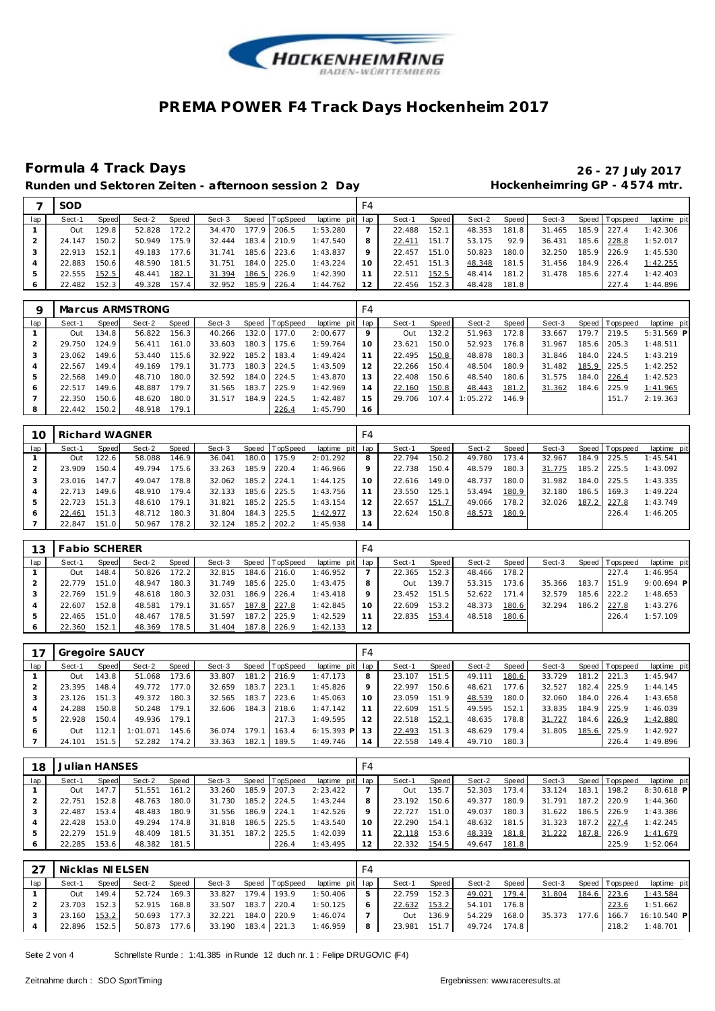

### Runden und Sektoren Zeiten - afternoon session 2 Day **11 beschiff and Hockenheimring GP** - 4574 mtr.

# **Formula 4 Track Days 26 - 27 July 2017**

|     | <b>SOD</b>   |       |        |       |        |       |                |                 | F4 |        |       |              |         |        |             |                 |             |
|-----|--------------|-------|--------|-------|--------|-------|----------------|-----------------|----|--------|-------|--------------|---------|--------|-------------|-----------------|-------------|
| lap | Sect-1       | Speed | Sect-2 | Speed | Sect-3 |       | Speed TopSpeed | laptime pit lap |    | Sect-1 | Speed | Sect-2       | Speed I | Sect-3 |             | Speed Tops peed | laptime pit |
|     | Out          | 129.8 | 52.828 | 172.2 | 34.470 | 177.9 | 206.5          | 1:53.280        |    | 22.488 | 152.1 | 48.353       | 181.8   | 31.465 |             | 185.9 227.4     | 1:42.306    |
|     | 24.147       | 150.2 | 50.949 | 175.9 | 32.444 | 183.4 | 210.9          | 1:47.540        | 8  | 22.411 | 151.7 | 53.175       | 92.9    | 36.431 |             | 185.6 228.8     | 1:52.017    |
|     | 22.913 152.1 |       | 49.183 | 177.6 | 31.741 |       | 185.6 223.6    | 1:43.837        | 9  | 22.457 | 151.0 | 50.823       | 180.0   | 32.250 |             | 185.9 226.9     | 1:45.530    |
|     | 22.883       | 150.6 | 48.590 | 181.5 | 31.751 | 184.0 | 225.0          | 1:43.224        | 10 | 22.451 | 151.3 | 48.348       | 181.5   | 31.456 | 184.9 226.4 |                 | 1:42.255    |
|     | 22.555       | 152.5 | 48.441 | 182.1 | 31.394 | 186.5 | 226.9          | 1:42.390        |    | 22.511 | 152.5 | 48.414       | 181.2   | 31.478 |             | 185.6 227.4     | 1:42.403    |
|     | 22.482       | 152.3 | 49.328 | 157.4 | 32.952 |       | 185.9 226.4    | 1:44.762        | 12 | 22.456 | 152.3 | 48.428 181.8 |         |        |             | 227.4           | 1:44.896    |

| O   |        |       | Marcus ARMSTRONG |       |        |       |                  |                 | F4      |        |         |          |       |        |       |                |              |
|-----|--------|-------|------------------|-------|--------|-------|------------------|-----------------|---------|--------|---------|----------|-------|--------|-------|----------------|--------------|
| lap | Sect-1 | Speed | Sect-2           | Speed | Sect-3 |       | Speed   TopSpeed | laptime pit lap |         | Sect-1 | Speed I | Sect-2   | Speed | Sect-3 |       | Speed Topspeed | laptime pit  |
|     | Out    | 134.8 | 56.822           | 156.3 | 40.266 | 132.0 | 177.0            | 2:00.677        | $\circ$ | Out    | 132.2   | 51.963   | 172.8 | 33.667 | 179.7 | 219.5          | $5:31.569$ P |
|     | 29.750 | 124.9 | 56.411           | 161.0 | 33.603 | 180.3 | 175.6            | 1:59.764        | 10      | 23.621 | 150.0   | 52.923   | 176.8 | 31.967 | 185.6 | 205.3          | 1:48.511     |
|     | 23.062 | 149.6 | 53.440           | 115.6 | 32.922 | 185.2 | 183.4            | 1:49.424        |         | 22.495 | 150.8   | 48.878   | 180.3 | 31.846 | 184.0 | 224.5          | 1:43.219     |
| 4   | 22.567 | 149.4 | 49.169           | 179.1 | 31.773 | 180.3 | 224.5            | 1:43.509        | 12      | 22.266 | 150.4   | 48.504   | 180.9 | 31.482 | 185.9 | 225.5          | 1:42.252     |
| 5   | 22.568 | 149.0 | 48.710           | 180.0 | 32.592 | 184.0 | 224.5            | 1:43.870        | 13      | 22.408 | 150.6   | 48.540   | 180.6 | 31.575 | 184.0 | 226.4          | 1:42.523     |
|     | 22.517 | 149.6 | 48.887           | 179.7 | 31.565 | 183.7 | 225.9            | 1:42.969        | 14      | 22.160 | 150.8   | 48.443   | 181.2 | 31.362 |       | 184.6 225.9    | 1:41.965     |
|     | 22.350 | 150.6 | 48.620           | 180.0 | 31.517 | 184.9 | 224.5            | 1:42.487        | 15      | 29.706 | 107.4   | 1:05.272 | 146.9 |        |       | 151.7          | 2:19.363     |
|     | 22.442 | 150.2 | 48.918           | 179.1 |        |       | 226.4            | 1:45.790        | 16      |        |         |          |       |        |       |                |              |

|     | Richard WAGNER |       |        |       |        |       |                |             | F4  |        |       |        |       |        |       |                |             |
|-----|----------------|-------|--------|-------|--------|-------|----------------|-------------|-----|--------|-------|--------|-------|--------|-------|----------------|-------------|
| lap | Sect-1         | Speed | Sect-2 | Speed | Sect-3 |       | Speed TopSpeed | laptime pit | lap | Sect-1 | Speed | Sect-2 | Speed | Sect-3 |       | Speed Topspeed | laptime pit |
|     | Out            | 122.6 | 58.088 | 146.9 | 36.041 | 180.0 | 175.9          | 2:01.292    | 8   | 22.794 | 150.2 | 49.780 | 173.4 | 32.967 | 184.9 | 225.5          | 1:45.541    |
|     | 23.909         | 150.4 | 49.794 | 75.6  | 33.263 | 185.9 | 220.4          | 1:46.966    | 9   | 22.738 | 150.4 | 48.579 | 180.3 | 31.775 | 185.2 | 225.5          | 1:43.092    |
|     | 23.016         | 147.7 | 49.047 | 78.8  | 32.062 |       | 185.2 224.1    | 1:44.125    | 10  | 22.616 | 149.0 | 48.737 | 180.0 | 31.982 | 184.0 | 225.5          | 1:43.335    |
|     | 22.713         | 149.6 | 48.910 | 179.4 | 32.133 |       | 185.6 225.5    | 1:43.756    | 11  | 23.550 | 125.1 | 53.494 | 180.9 | 32.180 | 186.5 | 169.3          | 1:49.224    |
| 5   | 22.723         | 151.3 | 48.610 | 179.1 | 31.821 | 185.2 | 225.5          | 1:43.154    | 12  | 22.657 | 151.7 | 49.066 | 178.2 | 32.026 | 187.2 | 227.8          | 1:43.749    |
| O   | 22.461         | 151.3 | 48.712 | 180.3 | 31.804 | 184.3 | 225.5          | 1:42.977    | 13  | 22.624 | 150.8 | 48.573 | 180.9 |        |       | 226.4          | 1:46.205    |
|     | 22.847         | 151.0 | 50.967 | 78.2  | 32.124 | 185.2 | 202.2          | 1:45.938    | 14  |        |       |        |       |        |       |                |             |

| 13  | <b>Fabio SCHERER</b> |       |        |       |        |       |                |                 | F4 |              |       |        |       |        |       |                   |              |
|-----|----------------------|-------|--------|-------|--------|-------|----------------|-----------------|----|--------------|-------|--------|-------|--------|-------|-------------------|--------------|
| lap | Sect-1               | Speed | Sect-2 | Speed | Sect-3 |       | Speed TopSpeed | laptime pit lap |    | Sect-1       | Speed | Sect-2 | Speed | Sect-3 |       | Speed   Tops peed | laptime pit  |
|     | Out                  | 148.4 | 50.826 | 172.2 | 32.815 |       | 184.6 216.0    | 1:46.952        |    | 22.365       | 152.3 | 48.466 | 178.2 |        |       | 227.4             | 1:46.954     |
|     | 22.779               | 151.0 | 48.947 | 180.3 | 31.749 | 185.6 | 225.0          | 1:43.475        | 8  | Out          | 139.7 | 53.315 | 173.6 | 35.366 | 183.7 | 151.9             | $9:00.694$ P |
|     | 22.769               | 151.9 | 48.618 | 180.3 | 32.031 |       | 186.9 226.4    | 1:43.418        | Q  | 23.452 151.5 |       | 52.622 | 171.4 | 32.579 |       | 185.6 222.2       | 1:48.653     |
|     | 22.607               | 152.8 | 48.581 | 179.1 | 31.657 |       | 187.8 227.8    | 1:42.845        | 10 | 22.609       | 153.2 | 48.373 | 180.6 | 32.294 | 186.2 | 227.8             | 1:43.276     |
|     | 22.465               | 151.0 | 48.467 | 178.5 | 31.597 |       | 187.2 225.9    | 1:42.529        | 11 | 22.835       | 153.4 | 48.518 | 180.6 |        |       | 226.4             | 1:57.109     |
|     | 22.360               | 152.1 | 48.369 | 178.5 | 31.404 |       | 187.8 226.9    | 1:42.133        | 12 |              |       |        |       |        |       |                   |              |

|     | Gregoire SAUCY |       |          |       |        |       |                |                 | F4 |        |         |        |       |        |       |                 |             |
|-----|----------------|-------|----------|-------|--------|-------|----------------|-----------------|----|--------|---------|--------|-------|--------|-------|-----------------|-------------|
| lap | Sect-1         | Speed | Sect-2   | Speed | Sect-3 |       | Speed TopSpeed | laptime pit lap |    | Sect-1 | Speed I | Sect-2 | Speed | Sect-3 |       | Speed Tops peed | laptime pit |
|     | Out            | 143.8 | 51.068   | 173.6 | 33.807 | 181.2 | 216.9          | 1:47.173        | 8  | 23.107 | 151.5   | 49.111 | 180.6 | 33.729 | 181.2 | 221.3           | 1:45.947    |
|     | 23.395         | 148.4 | 49.772   | 177.0 | 32.659 | 183.7 | 223.1          | 1:45.826        | 9  | 22.997 | 150.6   | 48.621 | 177.6 | 32.527 | 182.4 | 225.9           | 1:44.145    |
|     | 23.126         | 151.3 | 49.372   | 180.3 | 32.565 | 183.7 | 223.6          | 1:45.063        | 10 | 23.059 | 151.9   | 48.539 | 180.0 | 32.060 | 184.0 | 226.4           | 1:43.658    |
|     | 24.288         | 150.8 | 50.248   | 179.1 | 32.606 | 184.3 | 218.6          | 1:47.142        |    | 22.609 | 151.5   | 49.595 | 152.1 | 33.835 | 184.9 | 225.9           | 1:46.039    |
| 5   | 22.928         | 150.4 | 49.936   | 179.1 |        |       | 217.3          | 1:49.595        | 12 | 22.518 | 152.1   | 48.635 | 178.8 | 31.727 | 184.6 | 226.9           | 1:42.880    |
| 6   | Out            | 112.7 | 1:01.071 | 145.6 | 36.074 | 179.7 | 163.4          | $6:15.393$ P    | 13 | 22.493 | 151.3   | 48.629 | 179.4 | 31.805 | 185.6 | 225.9           | 1:42.927    |
|     | 24.101         | 151.5 | 52.282   | 174.2 | 33.363 | 182.1 | 189.5          | 1:49.746        | 14 | 22.558 | 149.4   | 49.710 | 180.3 |        |       | 226.4           | 1:49.896    |

| 18  | Julian HANSES |                    |        |       |        |       |                |             | F4  |        |       |        |       |        |       |                 |              |
|-----|---------------|--------------------|--------|-------|--------|-------|----------------|-------------|-----|--------|-------|--------|-------|--------|-------|-----------------|--------------|
| lap | Sect-1        | Speed              | Sect-2 | Speed | Sect-3 |       | Speed TopSpeed | laptime pit | lap | Sect-1 | Speed | Sect-2 | Speed | Sect-3 |       | Speed Tops peed | laptime pit  |
|     | Out           | 147.7              | 51.551 | 161.2 | 33.260 | 185.9 | 207.3          | 2:23.422    |     | Out    | 135.7 | 52.303 | 173.4 | 33.124 | 183.1 | 198.2           | $8:30.618$ P |
|     | 22.751        | 152.8              | 48.763 | 180.0 | 31.730 | 185.2 | 224.5          | 1:43.244    | 8   | 23.192 | 150.6 | 49.377 | 180.9 | 31.791 |       | 187.2 220.9     | 1:44.360     |
|     | 22.487        | 153.4              | 48.483 | 180.9 | 31.556 | 186.9 | 224.1          | 1:42.526    | 9   | 22.727 | 151.0 | 49.037 | 180.3 | 31.622 |       | 186.5 226.9     | 1:43.386     |
|     | 22.428        | 153.0              | 49.294 | 174.8 | 31.818 | 186.5 | 225.5          | 1:43.540    | 10  | 22.290 | 154.1 | 48.632 | 181.5 | 31.323 | 187.2 | 227.4           | 1:42.245     |
|     | 22.279        | $\mathsf Q$<br>151 | 48.409 | 181.5 | 31.351 | 187.2 | 225.5          | 1:42.039    |     | 22.118 | 153.6 | 48.339 | 181.8 | 31.222 |       | 187.8 226.9     | 1:41.679     |
|     | 22.285        | 153.6              | 48.382 | 181.5 |        |       | 226.4          | 1:43.495    | 12  | 22.332 | 154.5 | 49.647 | 181.8 |        |       | 225.9           | 1:52.064     |

| 27  | Nicklas NIELSEN |       |              |       |                    |                |                             |                |                |           |              |       |        |                   |                         |
|-----|-----------------|-------|--------------|-------|--------------------|----------------|-----------------------------|----------------|----------------|-----------|--------------|-------|--------|-------------------|-------------------------|
| lap | Sect-1          | Speed | Sect-2       | Speed | Sect-3             | Speed TopSpeed | laptime pit lap             |                | Sect-1         | Speed     | Sect-2       | Speed | Sect-3 | Speed   Tops peed | laptime pit             |
|     | <b>Out</b>      | 149.4 | 52.724 169.3 |       | 33.827             | 179.4 193.9    | 1:50.406                    | 5              | 22.759 152.3   |           | 49.021       | 179.4 | 31.804 | 184.6 223.6       | 1:43.584                |
|     | 23.703 152.3    |       | 52.915 168.8 |       | 33.507 183.7 220.4 |                | 1:50.125                    | 6              | $22.632$ 153.2 |           | 54.101       | 176.8 |        | 223.6             | 1:51.662                |
|     | 23.160 153.2    |       | 50.693 177.3 |       | 32.221 184.0 220.9 |                | 1:46.074                    |                |                | Out 136.9 | 54.229       | 168.0 | 35.373 |                   | 177.6 166.7 16:10.540 P |
|     | 22.896 152.5    |       | 50.873 177.6 |       |                    |                | 33.190 183.4 221.3 1:46.959 | 8 <sup>1</sup> | 23.981 151.7   |           | 49.724 174.8 |       |        | 218.2             | 1:48.701                |

Seite 2 von 4 Schnellste Runde : 1:41.385 in Runde 12 duch nr. 1 : Felipe DRUGOVIC (F4)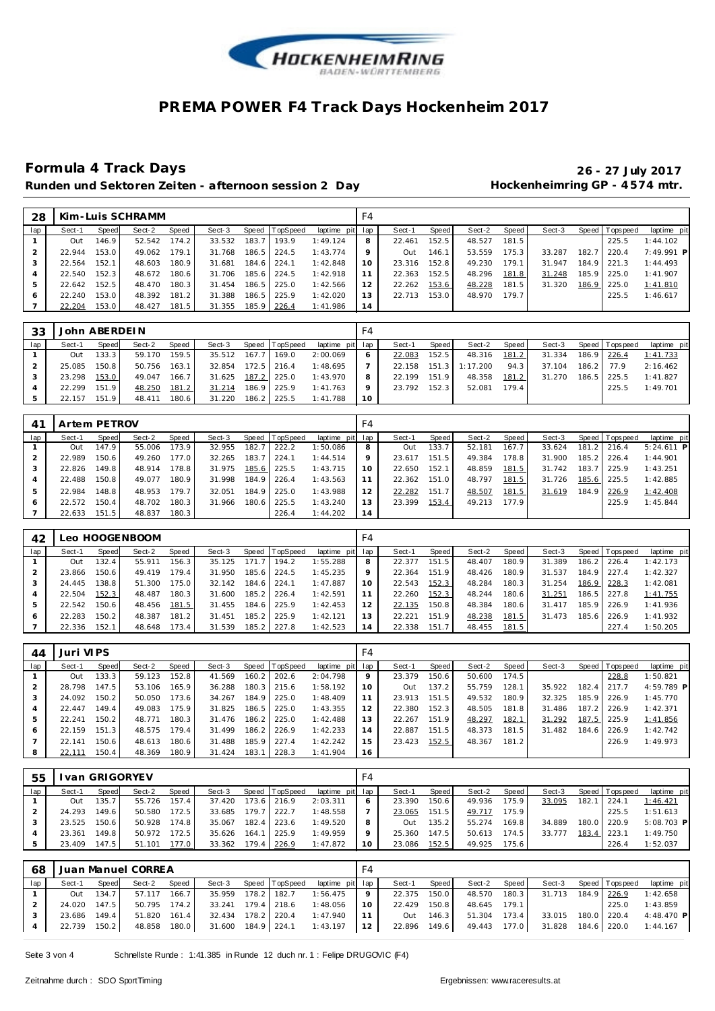

### Runden und Sektoren Zeiten - afternoon session 2 Day **11 beschiff and Hockenheimring GP** - 4574 mtr.

# **Formula 4 Track Days 26 - 27 July 2017**

| 28  |        |       | Kim-Luis SCHRAMM |       |        |       |                |                 | F4 |        |       |        |       |        |       |                 |              |
|-----|--------|-------|------------------|-------|--------|-------|----------------|-----------------|----|--------|-------|--------|-------|--------|-------|-----------------|--------------|
| lap | Sect-1 | Speed | Sect-2           | Speed | Sect-3 |       | Speed TopSpeed | laptime pit lap |    | Sect-1 | Speed | Sect-2 | Speed | Sect-3 |       | Speed Tops peed | laptime pit  |
|     | Out    | 146.9 | 52.542           | 174.2 | 33.532 | 183.7 | 193.9          | 1:49.124        | 8  | 22.461 | 152.5 | 48.527 | 181.5 |        |       | 225.5           | 1:44.102     |
|     | 22.944 | 153.0 | 49.062           | 179.1 | 31.768 | 186.5 | 224.5          | 1:43.774        | 9  | Out    | 146.1 | 53.559 | 175.3 | 33.287 | 182.  | 220.4           | $7:49.991$ P |
|     | 22.564 | 152.1 | 48.603           | 180.9 | 31.681 | 184.6 | 224.1          | 1:42.848        |    | 23.316 | 152.8 | 49.230 | 179.1 | 31.947 | 184.9 | 221.3           | 1:44.493     |
|     | 22.540 | 152.3 | 48.672           | 180.6 | 31.706 | 185.6 | 224.5          | 1:42.918        |    | 22.363 | 152.5 | 48.296 | 181.8 | 31.248 | 185.9 | 225.0           | 1:41.907     |
|     | 22.642 | 152.5 | 48.470           | 180.3 | 31.454 | 186.5 | 225.0          | 1:42.566        | 12 | 22.262 | 153.6 | 48.228 | 181.5 | 31.320 | 186.9 | 225.0           | 1:41.810     |
| 6   | 22.240 | 153.0 | 48.392           | 181.2 | 31.388 | 186.5 | 225.9          | 1:42.020        | 13 | 22.713 | 153.0 | 48.970 | 179.7 |        |       | 225.5           | 1:46.617     |
|     | 22.204 | 153.0 | 48.427           | 181.5 | 31.355 | 185.9 | 226.4          | 1:41.986        | 14 |        |       |        |       |        |       |                 |              |

| 33  | John ABERDEIN |       |        |       |        |               |                |                 | F4 |              |       |          |       |        |             |                   |             |
|-----|---------------|-------|--------|-------|--------|---------------|----------------|-----------------|----|--------------|-------|----------|-------|--------|-------------|-------------------|-------------|
| lap | Sect-1        | Speed | Sect-2 | Speed | Sect-3 |               | Speed TopSpeed | laptime pit lap |    | Sect-1       | Speed | Sect-2   | Speed | Sect-3 |             | Speed   Tops peed | laptime pit |
|     | Out           | 133.3 | 59.170 | 159.5 | 35.512 |               | 167.7 169.0    | 2:00.069        | O  | 22.083       | 152.5 | 48.316   | 181.2 | 31.334 | 186.9 226.4 |                   | 1:41.733    |
|     | 25.085        | 150.8 | 50.756 | 163.1 | 32.854 | $172.5$ 216.4 |                | 1:48.695        |    | 22.158 151.3 |       | 1:17.200 | 94.3  | 37.104 | 186.2       | 77.9              | 2:16.462    |
|     | 23.298        | 153.0 | 49.047 | 166.7 | 31.625 |               | 187.2 225.0    | 1:43.970        | 8  | 22.199       | 151.9 | 48.358   | 181.2 | 31.270 | 186.5       | 1225.5            | 1:41.827    |
|     | 22.299        | 151.9 | 48.250 | 181.2 | 31.214 |               | 186.9 225.9    | 1:41.763        | Q  | 23.792 152.3 |       | 52.081   | 179.4 |        |             | 225.5             | 1:49.701    |
|     | 22.157        | 151.9 | 48.411 | 180.6 | 31.220 |               | 186.2 225.5    | 1:41.788        | 10 |              |       |          |       |        |             |                   |             |

| 4 <sup>1</sup> | Artem PETROV |       |        |       |        |       |                |                 | F4 |        |       |        |       |        |       |                |              |
|----------------|--------------|-------|--------|-------|--------|-------|----------------|-----------------|----|--------|-------|--------|-------|--------|-------|----------------|--------------|
| lap            | Sect-1       | Speed | Sect-2 | Speed | Sect-3 |       | Speed TopSpeed | laptime pit lap |    | Sect-1 | Speed | Sect-2 | Speed | Sect-3 |       | Speed Topspeed | laptime pit  |
|                | Out          | 147.9 | 55.006 | 173.9 | 32.955 | 182.7 | 222.2          | 1:50.086        | 8  | Out    | 133.7 | 52.181 | 167.7 | 33.624 | 181.2 | 216.4          | $5:24.611$ P |
|                | 22.989       | 150.6 | 49.260 | 177.0 | 32.265 | 183.7 | 224.1          | 1:44.514        | 9  | 23.617 | 151.5 | 49.384 | 178.8 | 31.900 | 185.2 | 226.4          | 1:44.901     |
|                | 22.826       | 149.8 | 48.914 | 178.8 | 31.975 |       | 185.6 225.5    | 1:43.715        | 10 | 22.650 | 152.1 | 48.859 | 181.5 | 31.742 | 183.7 | 225.9          | 1:43.251     |
|                | 22.488       | 150.8 | 49.077 | 180.9 | 31.998 |       | 184.9 226.4    | 1:43.563        | 11 | 22.362 | 151.0 | 48.797 | 181.5 | 31.726 | 185.6 | 225.5          | 1:42.885     |
|                | 22.984       | 148.8 | 48.953 | 179.7 | 32.051 |       | 184.9 225.0    | 1:43.988        | 12 | 22.282 | 151.7 | 48.507 | 181.5 | 31.619 | 184.9 | 226.9          | 1:42.408     |
| O              | 22.572       | 150.4 | 48.702 | 180.3 | 31.966 | 180.6 | 225.5          | 1:43.240        | 13 | 23.399 | 153.4 | 49.213 | 177.9 |        |       | 225.9          | 1:45.844     |
|                | 22.633       | 151.5 | 48.837 | 180.3 |        |       | 226.4          | 1:44.202        | 14 |        |       |        |       |        |       |                |              |

| 42  |        |       | Leo HOOGENBOOM |       |        |       |                  |                 | F4 |        |       |        |       |        |         |                |             |
|-----|--------|-------|----------------|-------|--------|-------|------------------|-----------------|----|--------|-------|--------|-------|--------|---------|----------------|-------------|
| lap | Sect-1 | Speed | Sect-2         | Speed | Sect-3 |       | Speed   TopSpeed | laptime pit lap |    | Sect-1 | Speed | Sect-2 | Speed | Sect-3 |         | Speed Topspeed | laptime pit |
|     | Out    | 132.4 | 55.911         | 156.3 | 35.125 | 171.7 | 194.2            | 1:55.288        | 8  | 22.377 | 151.5 | 48.407 | 180.9 | 31.389 | 186.2 l | 226.4          | 1:42.173    |
|     | 23.866 | 150.6 | 49.419         | 179.4 | 31.950 | 185.6 | 224.5            | 1:45.235        | 9  | 22.364 | 151.9 | 48.426 | 180.9 | 31.537 | 184.9   | 227.4          | 1:42.327    |
| 3   | 24.445 | 138.8 | 51.300         | 175.0 | 32.142 | 184.6 | 224.1            | 1:47.887        | 10 | 22.543 | 152.3 | 48.284 | 180.3 | 31.254 |         | 186.9 228.3    | 1:42.081    |
|     | 22.504 | 152.3 | 48.487         | 180.3 | 31.600 | 185.2 | 226.4            | 1:42.591        | 11 | 22.260 | 152.3 | 48.244 | 180.6 | 31.251 |         | 186.5 227.8    | 1:41.755    |
| 5   | 22.542 | 150.6 | 48.456         | 181.5 | 31.455 | 184.6 | 225.9            | 1:42.453        | 12 | 22.135 | 150.8 | 48.384 | 180.6 | 31.417 | 185.9   | 226.9          | 1:41.936    |
| O   | 22.283 | 150.2 | 48.387         | 181.2 | 31.451 | 185.2 | 225.9            | 1:42.121        | 13 | 22.221 | 151.9 | 48.238 | 181.5 | 31.473 | 185.6   | 226.9          | 1:41.932    |
|     | 22.336 | 152.1 | 48.648         | 173.4 | 31.539 | 185.2 | 227.8            | 1:42.523        | 14 | 22.338 | 151.7 | 48.455 | 181.5 |        |         | 227.4          | 1:50.205    |

| 44           | Juri VIPS |       |        |       |        |       |                 |                 | F4 |        |       |        |       |        |       |                |             |
|--------------|-----------|-------|--------|-------|--------|-------|-----------------|-----------------|----|--------|-------|--------|-------|--------|-------|----------------|-------------|
| lap          | Sect-1    | Speed | Sect-2 | Speed | Sect-3 |       | Speed TopSpeed  | laptime pit lap |    | Sect-1 | Speed | Sect-2 | Speed | Sect-3 |       | Speed Topspeed | laptime pit |
|              | Out       | 133.3 | 59.123 | 152.8 | 41.569 | 160.2 | 202.6           | 2:04.798        | 9  | 23.379 | 150.6 | 50.600 | 174.5 |        |       | 228.8          | 1:50.821    |
|              | 28.798    | 147.5 | 53.106 | 165.9 | 36.288 | 180.3 | 215.6           | 1:58.192        | 10 | Out    | 137.2 | 55.759 | 128.1 | 35.922 | 182.4 | 217.7          | 4:59.789 P  |
|              | 24.092    | 150.2 | 50.050 | 173.6 | 34.267 | 184.9 | 225.0           | 1:48.409        | 11 | 23.913 | 151.5 | 49.532 | 180.9 | 32.325 | 185.9 | 226.9          | 1:45.770    |
|              | 22.447    | 149.4 | 49.083 | 175.9 | 31.825 | 186.5 | 225.0           | 1:43.355        | 12 | 22.380 | 152.3 | 48.505 | 181.8 | 31.486 | 187.2 | 226.9          | 1:42.371    |
| 5            | 22.241    | 150.2 | 48.771 | 180.3 | 31.476 |       | $186.2$   225.0 | 1:42.488        | 13 | 22.267 | 151.9 | 48.297 | 182.1 | 31.292 | 187.5 | 225.9          | 1:41.856    |
| <sup>6</sup> | 22.159    | 151.3 | 48.575 | 179.4 | 31.499 | 186.2 | 226.9           | 1:42.233        | 14 | 22.887 | 151.5 | 48.373 | 181.5 | 31.482 | 184.6 | 226.9          | 1:42.742    |
|              | 22.141    | 150.6 | 48.613 | 180.6 | 31.488 | 185.9 | 227.4           | 1:42.242        | 15 | 23.423 | 152.5 | 48.367 | 181.2 |        |       | 226.9          | 1:49.973    |
| 8            |           | 150.4 | 48.369 | 180.9 | 31.424 | 183.1 | 228.3           | 1:41.904        | 16 |        |       |        |       |        |       |                |             |

| 55  |        | van GRIGORYEV      |        |       |        |       |                |                 | F4          |        |       |        |       |        |       |                   |              |
|-----|--------|--------------------|--------|-------|--------|-------|----------------|-----------------|-------------|--------|-------|--------|-------|--------|-------|-------------------|--------------|
| lap | Sect-1 | Speed              | Sect-2 | Speed | Sect-3 |       | Speed TopSpeed | laptime pit lap |             | Sect-1 | Speed | Sect-2 | Speed | Sect-3 |       | Speed   Tops peed | laptime pit  |
|     | Out    | 135.7              | 55.726 | 157.4 | 37.420 |       | 173.6 216.9    | 2:03.311        | 6           | 23.390 | 150.6 | 49.936 | 175.9 | 33.095 | 182.1 | 224.1             | 1:46.421     |
|     | 24.293 | 149.6              | 50.580 | 172.5 | 33.685 | 179.7 | 222.7          | 1:48.558        |             | 23.065 | 151.5 | 49.717 | 175.9 |        |       | 225.5             | 1:51.613     |
|     | 23.525 | 150.6 <sub>1</sub> | 50.928 | 174.8 | 35.067 |       | 182.4 223.6    | 1:49.520        | 8           | Out    | 135.2 | 55.274 | 169.8 | 34.889 | 180.0 | 1220.9            | $5:08.703$ P |
|     | 23.361 | 149.8              | 50.972 | 172.5 | 35.626 | 164.1 | 225.9          | 1:49.959        | $\mathsf Q$ | 25.360 | 147.5 | 50.613 | 174.5 | 33.777 | 183.4 | 223.1             | 1:49.750     |
|     | 23.409 | 147.5              | 51.101 | 177.0 | 33.362 | 179.4 | 226.9          | 1:47.872        | 10          | 23.086 | 152.5 | 49.925 | 175.6 |        |       | 226.4             | 1:52.037     |

| 68  |              |              | Juan Manuel CORREA |       |                    |  |                                       | F4              |              |           |              |                    |                       |                                |
|-----|--------------|--------------|--------------------|-------|--------------------|--|---------------------------------------|-----------------|--------------|-----------|--------------|--------------------|-----------------------|--------------------------------|
| lap | Sect-1       | Speed        | Sect-2             | Speed |                    |  | Sect-3 Speed TopSpeed laptime pit lap |                 | Sect-1       | Speed     | Sect-2 Speed |                    | Sect-3 Speed Topspeed | laptime pit                    |
|     | Out          | 134.7        | 57.117 166.7       |       |                    |  | 35.959 178.2 182.7 1:56.475           | -91             | 22.375 150.0 |           | 48.570 180.3 | 31.713 184.9 226.9 |                       | 1:42.658                       |
|     |              | 24.020 147.5 | 50.795 174.2       |       | 33.241 179.4 218.6 |  | 1:48.056                              | 10 <sup>1</sup> | 22.429 150.8 |           | 48.645 179.1 |                    | 225.0                 | 1:43.859                       |
|     | 23.686 149.4 |              | 51.820 161.4       |       | 32.434 178.2 220.4 |  | 1:47.940                              | 11 <sub>1</sub> |              | Out 146.3 | 51.304 173.4 | 33.015 180.0 220.4 |                       | 4:48.470 P                     |
|     | 22.739 150.2 |              | 48.858 180.0       |       |                    |  | 31.600 184.9 224.1 1:43.197 12        |                 | 22.896 149.6 |           | 49.443 177.0 |                    |                       | 31.828  184.6  220.0  1:44.167 |

Seite 3 von 4 Schnellste Runde : 1:41.385 in Runde 12 duch nr. 1 : Felipe DRUGOVIC (F4)